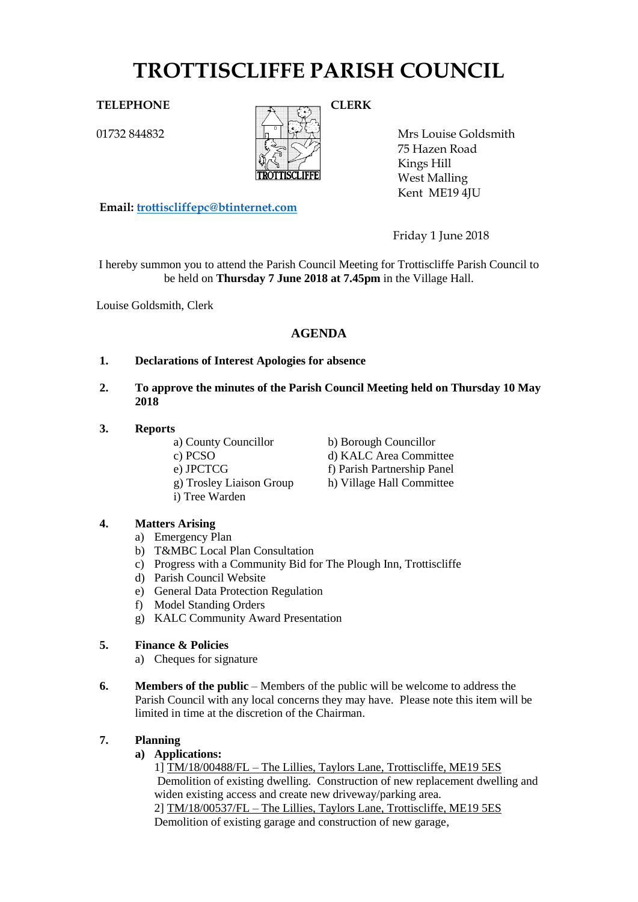# **TROTTISCLIFFE PARISH COUNCIL**

01732 844832



Mrs Louise Goldsmith 75 Hazen Road Kings Hill West Malling

**Email: [trottiscliffepc@btinternet.com](mailto:trottiscliffepc@btinternet.com)**

Friday 1 June 2018

Kent ME19 4JU

I hereby summon you to attend the Parish Council Meeting for Trottiscliffe Parish Council to be held on **Thursday 7 June 2018 at 7.45pm** in the Village Hall.

Louise Goldsmith, Clerk

# **AGENDA**

- **1. Declarations of Interest Apologies for absence**
- **2. To approve the minutes of the Parish Council Meeting held on Thursday 10 May 2018**
- **3. Reports**

a) County Councillor b) Borough Councillor c) PCSO d) KALC Area Committee e) JPCTCG f) Parish Partnership Panel g) Trosley Liaison Group h) Village Hall Committee i) Tree Warden

## **4. Matters Arising**

- a) Emergency Plan
- b) T&MBC Local Plan Consultation
- c) Progress with a Community Bid for The Plough Inn, Trottiscliffe
- d) Parish Council Website
- e) General Data Protection Regulation
- f) Model Standing Orders
- g) KALC Community Award Presentation

## **5. Finance & Policies**

- a) Cheques for signature
- **6. Members of the public** Members of the public will be welcome to address the Parish Council with any local concerns they may have. Please note this item will be limited in time at the discretion of the Chairman.

#### **7. Planning**

**a) Applications:** 

1] TM/18/00488/FL – The Lillies, Taylors Lane, Trottiscliffe, ME19 5ES Demolition of existing dwelling. Construction of new replacement dwelling and widen existing access and create new driveway/parking area. 2] TM/18/00537/FL – The Lillies, Taylors Lane, Trottiscliffe, ME19 5ES Demolition of existing garage and construction of new garage,